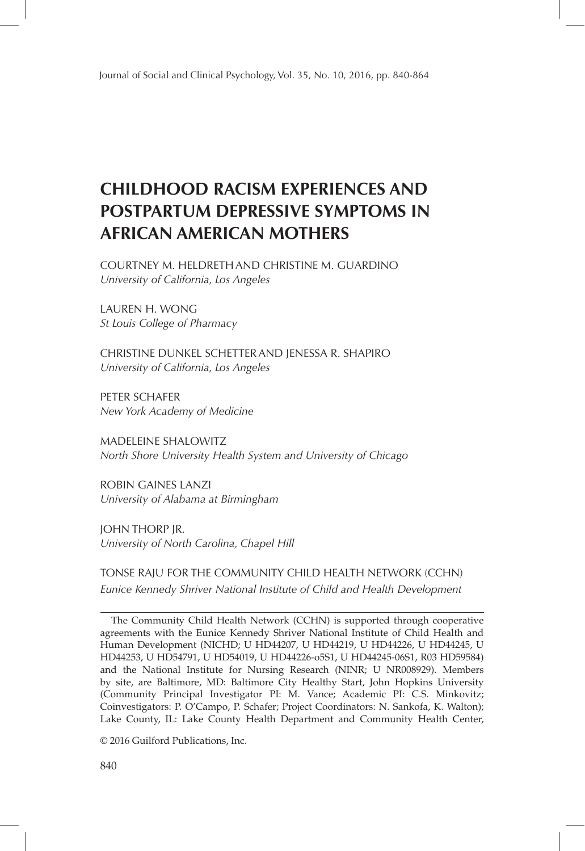# **CHILDHOOD RACISM EXPERIENCES AND POSTPARTUM DEPRESSIVE SYMPTOMS IN AFRICAN AMERICAN MOTHERS**

COURTNEY M. HELDRETHAND CHRISTINE M. GUARDINO *University of California, Los Angeles*

LAUREN H. WONG *St Louis College of Pharmacy*

CHRISTINE DUNKEL SCHETTERAND JENESSA R. SHAPIRO *University of California, Los Angeles*

PETER SCHAFER *New York Academy of Medicine*

MADELEINE SHALOWITZ *North Shore University Health System and University of Chicago*

ROBIN GAINES LANZI *University of Alabama at Birmingham*

JOHN THORP JR. *University of North Carolina, Chapel Hill*

TONSE RAJU FOR THE COMMUNITY CHILD HEALTH NETWORK (CCHN) *Eunice Kennedy Shriver National Institute of Child and Health Development*

The Community Child Health Network (CCHN) is supported through cooperative agreements with the Eunice Kennedy Shriver National Institute of Child Health and Human Development (NICHD; U HD44207, U HD44219, U HD44226, U HD44245, U HD44253, U HD54791, U HD54019, U HD44226-o5S1, U HD44245-06S1, R03 HD59584) and the National Institute for Nursing Research (NINR; U NR008929). Members by site, are Baltimore, MD: Baltimore City Healthy Start, John Hopkins University (Community Principal Investigator PI: M. Vance; Academic PI: C.S. Minkovitz; Coinvestigators: P. O'Campo, P. Schafer; Project Coordinators: N. Sankofa, K. Walton); Lake County, IL: Lake County Health Department and Community Health Center,

© 2016 Guilford Publications, Inc.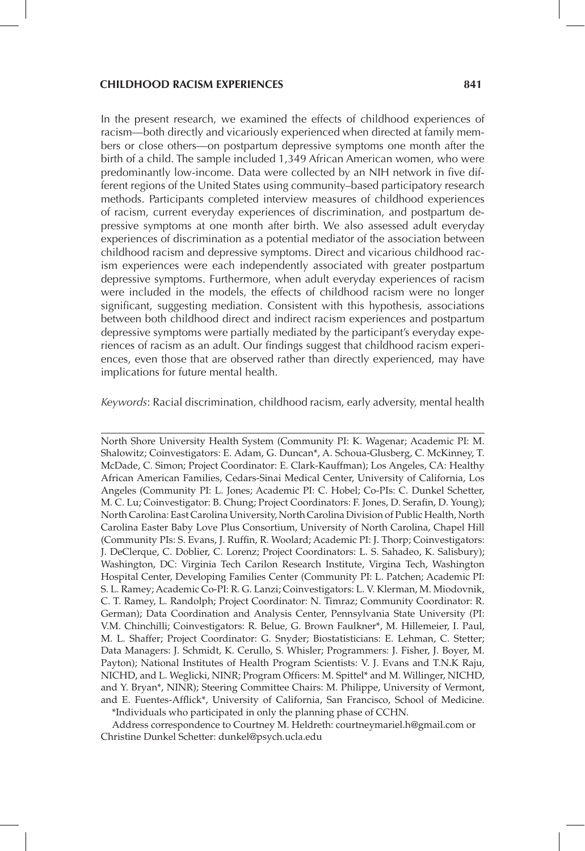#### **CHILDHOOD RACISM EXPERIENCES 841**

In the present research, we examined the effects of childhood experiences of racism—both directly and vicariously experienced when directed at family members or close others—on postpartum depressive symptoms one month after the birth of a child. The sample included 1,349 African American women, who were predominantly low-income. Data were collected by an NIH network in five different regions of the United States using community–based participatory research methods. Participants completed interview measures of childhood experiences of racism, current everyday experiences of discrimination, and postpartum depressive symptoms at one month after birth. We also assessed adult everyday experiences of discrimination as a potential mediator of the association between childhood racism and depressive symptoms. Direct and vicarious childhood racism experiences were each independently associated with greater postpartum depressive symptoms. Furthermore, when adult everyday experiences of racism were included in the models, the effects of childhood racism were no longer significant, suggesting mediation. Consistent with this hypothesis, associations between both childhood direct and indirect racism experiences and postpartum depressive symptoms were partially mediated by the participant's everyday experiences of racism as an adult. Our findings suggest that childhood racism experiences, even those that are observed rather than directly experienced, may have implications for future mental health.

*Keywords*: Racial discrimination, childhood racism, early adversity, mental health

North Shore University Health System (Community PI: K. Wagenar; Academic PI: M. Shalowitz; Coinvestigators: E. Adam, G. Duncan\*, A. Schoua-Glusberg, C. McKinney, T. McDade, C. Simon; Project Coordinator: E. Clark-Kauffman); Los Angeles, CA: Healthy African American Families, Cedars-Sinai Medical Center, University of California, Los Angeles (Community PI: L. Jones; Academic PI: C. Hobel; Co-PIs: C. Dunkel Schetter, M. C. Lu; Coinvestigator: B. Chung; Project Coordinators: F. Jones, D. Serafin, D. Young); North Carolina: East Carolina University, North Carolina Division of Public Health, North Carolina Easter Baby Love Plus Consortium, University of North Carolina, Chapel Hill (Community PIs: S. Evans, J. Ruffin, R. Woolard; Academic PI: J. Thorp; Coinvestigators: J. DeClerque, C. Doblier, C. Lorenz; Project Coordinators: L. S. Sahadeo, K. Salisbury); Washington, DC: Virginia Tech Carilon Research Institute, Virgina Tech, Washington Hospital Center, Developing Families Center (Community PI: L. Patchen; Academic PI: S. L. Ramey; Academic Co-PI: R. G. Lanzi; Coinvestigators: L. V. Klerman, M. Miodovnik, C. T. Ramey, L. Randolph; Project Coordinator: N. Timraz; Community Coordinator: R. German); Data Coordination and Analysis Center, Pennsylvania State University (PI: V.M. Chinchilli; Coinvestigators: R. Belue, G. Brown Faulkner\*, M. Hillemeier, I. Paul, M. L. Shaffer; Project Coordinator: G. Snyder; Biostatisticians: E. Lehman, C. Stetter; Data Managers: J. Schmidt, K. Cerullo, S. Whisler; Programmers: J. Fisher, J. Boyer, M. Payton); National Institutes of Health Program Scientists: V. J. Evans and T.N.K Raju, NICHD, and L. Weglicki, NINR; Program Officers: M. Spittel\* and M. Willinger, NICHD, and Y. Bryan\*, NINR); Steering Committee Chairs: M. Philippe, University of Vermont, and E. Fuentes-Afflick\*, University of California, San Francisco, School of Medicine.

\*Individuals who participated in only the planning phase of CCHN.

Address correspondence to Courtney M. Heldreth: courtneymariel.h@gmail.com or Christine Dunkel Schetter: dunkel@psych.ucla.edu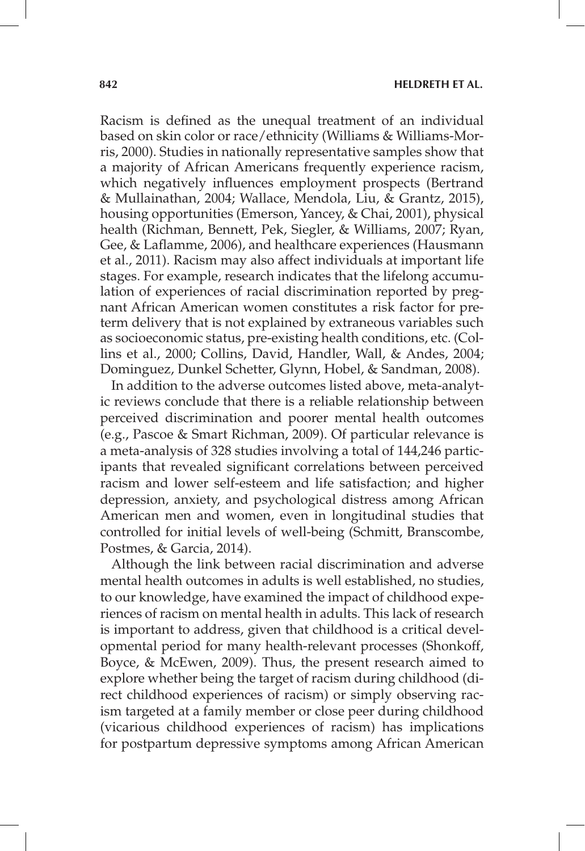Racism is defined as the unequal treatment of an individual based on skin color or race/ethnicity (Williams & Williams-Morris, 2000). Studies in nationally representative samples show that a majority of African Americans frequently experience racism, which negatively influences employment prospects (Bertrand & Mullainathan, 2004; Wallace, Mendola, Liu, & Grantz, 2015), housing opportunities (Emerson, Yancey, & Chai, 2001), physical health (Richman, Bennett, Pek, Siegler, & Williams, 2007; Ryan, Gee, & Laflamme, 2006), and healthcare experiences (Hausmann et al., 2011). Racism may also affect individuals at important life stages. For example, research indicates that the lifelong accumulation of experiences of racial discrimination reported by pregnant African American women constitutes a risk factor for preterm delivery that is not explained by extraneous variables such as socioeconomic status, pre-existing health conditions, etc. (Collins et al., 2000; Collins, David, Handler, Wall, & Andes, 2004; Dominguez, Dunkel Schetter, Glynn, Hobel, & Sandman, 2008).

In addition to the adverse outcomes listed above, meta-analytic reviews conclude that there is a reliable relationship between perceived discrimination and poorer mental health outcomes (e.g., Pascoe & Smart Richman, 2009). Of particular relevance is a meta-analysis of 328 studies involving a total of 144,246 participants that revealed significant correlations between perceived racism and lower self-esteem and life satisfaction; and higher depression, anxiety, and psychological distress among African American men and women, even in longitudinal studies that controlled for initial levels of well-being (Schmitt, Branscombe, Postmes, & Garcia, 2014).

Although the link between racial discrimination and adverse mental health outcomes in adults is well established, no studies, to our knowledge, have examined the impact of childhood experiences of racism on mental health in adults. This lack of research is important to address, given that childhood is a critical developmental period for many health-relevant processes (Shonkoff, Boyce, & McEwen, 2009). Thus, the present research aimed to explore whether being the target of racism during childhood (direct childhood experiences of racism) or simply observing racism targeted at a family member or close peer during childhood (vicarious childhood experiences of racism) has implications for postpartum depressive symptoms among African American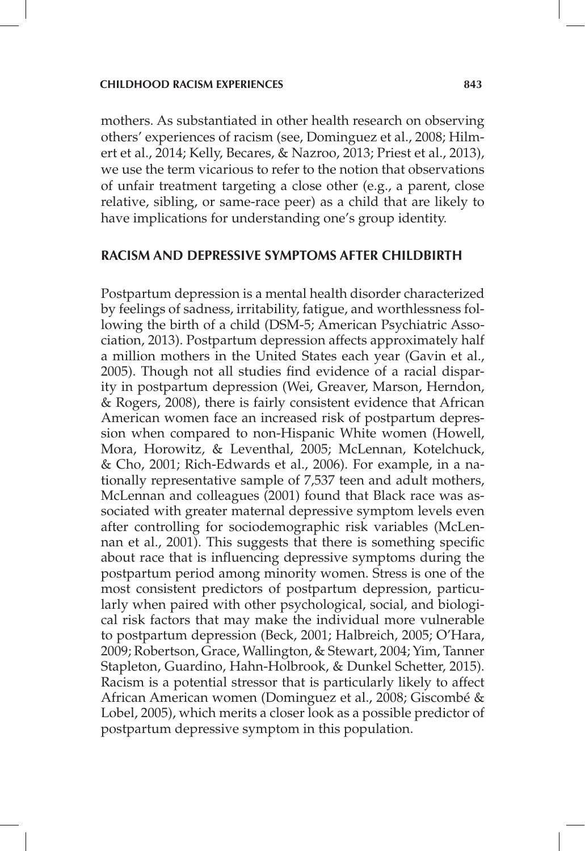mothers. As substantiated in other health research on observing others' experiences of racism (see, Dominguez et al., 2008; Hilmert et al., 2014; Kelly, Becares, & Nazroo, 2013; Priest et al., 2013), we use the term vicarious to refer to the notion that observations of unfair treatment targeting a close other (e.g., a parent, close relative, sibling, or same-race peer) as a child that are likely to have implications for understanding one's group identity.

## **RACISM AND DEPRESSIVE SYMPTOMS AFTER CHILDBIRTH**

Postpartum depression is a mental health disorder characterized by feelings of sadness, irritability, fatigue, and worthlessness following the birth of a child (DSM-5; American Psychiatric Association, 2013). Postpartum depression affects approximately half a million mothers in the United States each year (Gavin et al., 2005). Though not all studies find evidence of a racial disparity in postpartum depression (Wei, Greaver, Marson, Herndon, & Rogers, 2008), there is fairly consistent evidence that African American women face an increased risk of postpartum depression when compared to non-Hispanic White women (Howell, Mora, Horowitz, & Leventhal, 2005; McLennan, Kotelchuck, & Cho, 2001; Rich-Edwards et al., 2006). For example, in a nationally representative sample of 7,537 teen and adult mothers, McLennan and colleagues (2001) found that Black race was associated with greater maternal depressive symptom levels even after controlling for sociodemographic risk variables (McLennan et al., 2001). This suggests that there is something specific about race that is influencing depressive symptoms during the postpartum period among minority women. Stress is one of the most consistent predictors of postpartum depression, particularly when paired with other psychological, social, and biological risk factors that may make the individual more vulnerable to postpartum depression (Beck, 2001; Halbreich, 2005; O'Hara, 2009; Robertson, Grace, Wallington, & Stewart, 2004; Yim, Tanner Stapleton, Guardino, Hahn-Holbrook, & Dunkel Schetter, 2015). Racism is a potential stressor that is particularly likely to affect African American women (Dominguez et al., 2008; Giscombé & Lobel, 2005), which merits a closer look as a possible predictor of postpartum depressive symptom in this population.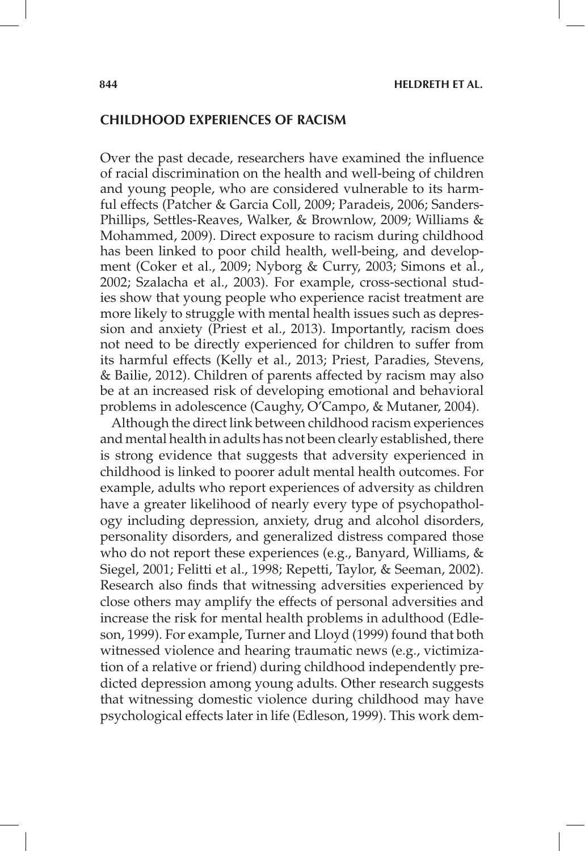## **CHILDHOOD EXPERIENCES OF RACISM**

Over the past decade, researchers have examined the influence of racial discrimination on the health and well-being of children and young people, who are considered vulnerable to its harmful effects (Patcher & Garcia Coll, 2009; Paradeis, 2006; Sanders-Phillips, Settles-Reaves, Walker, & Brownlow, 2009; Williams & Mohammed, 2009). Direct exposure to racism during childhood has been linked to poor child health, well-being, and development (Coker et al., 2009; Nyborg & Curry, 2003; Simons et al., 2002; Szalacha et al., 2003). For example, cross-sectional studies show that young people who experience racist treatment are more likely to struggle with mental health issues such as depression and anxiety (Priest et al., 2013). Importantly, racism does not need to be directly experienced for children to suffer from its harmful effects (Kelly et al., 2013; Priest, Paradies, Stevens, & Bailie, 2012). Children of parents affected by racism may also be at an increased risk of developing emotional and behavioral problems in adolescence (Caughy, O'Campo, & Mutaner, 2004).

Although the direct link between childhood racism experiences and mental health in adults has not been clearly established, there is strong evidence that suggests that adversity experienced in childhood is linked to poorer adult mental health outcomes. For example, adults who report experiences of adversity as children have a greater likelihood of nearly every type of psychopathology including depression, anxiety, drug and alcohol disorders, personality disorders, and generalized distress compared those who do not report these experiences (e.g., Banyard, Williams, & Siegel, 2001; Felitti et al., 1998; Repetti, Taylor, & Seeman, 2002). Research also finds that witnessing adversities experienced by close others may amplify the effects of personal adversities and increase the risk for mental health problems in adulthood (Edleson, 1999). For example, Turner and Lloyd (1999) found that both witnessed violence and hearing traumatic news (e.g., victimization of a relative or friend) during childhood independently predicted depression among young adults. Other research suggests that witnessing domestic violence during childhood may have psychological effects later in life (Edleson, 1999). This work dem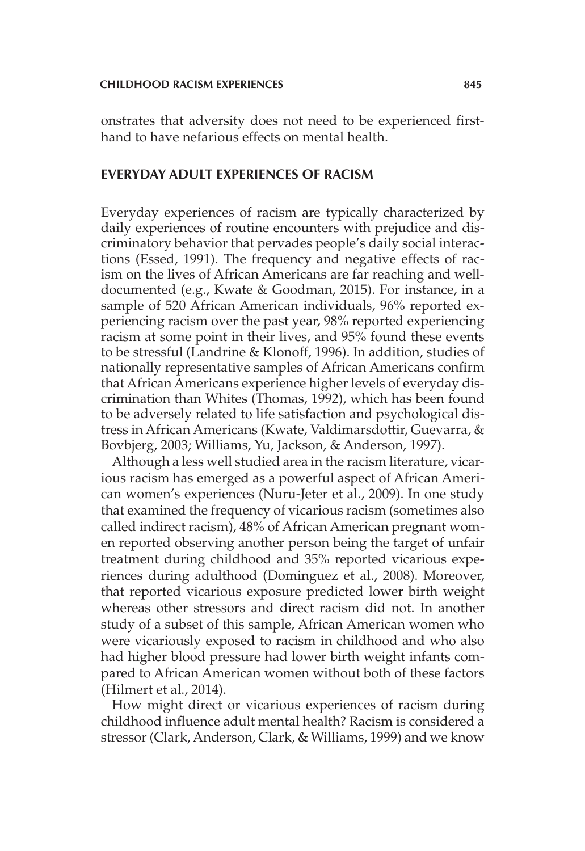onstrates that adversity does not need to be experienced firsthand to have nefarious effects on mental health.

## **EVERYDAY ADULT EXPERIENCES OF RACISM**

Everyday experiences of racism are typically characterized by daily experiences of routine encounters with prejudice and discriminatory behavior that pervades people's daily social interactions (Essed, 1991). The frequency and negative effects of racism on the lives of African Americans are far reaching and welldocumented (e.g., Kwate & Goodman, 2015). For instance, in a sample of 520 African American individuals, 96% reported experiencing racism over the past year, 98% reported experiencing racism at some point in their lives, and 95% found these events to be stressful (Landrine & Klonoff, 1996). In addition, studies of nationally representative samples of African Americans confirm that African Americans experience higher levels of everyday discrimination than Whites (Thomas, 1992), which has been found to be adversely related to life satisfaction and psychological distress in African Americans (Kwate, Valdimarsdottir, Guevarra, & Bovbjerg, 2003; Williams, Yu, Jackson, & Anderson, 1997).

Although a less well studied area in the racism literature, vicarious racism has emerged as a powerful aspect of African American women's experiences (Nuru-Jeter et al., 2009). In one study that examined the frequency of vicarious racism (sometimes also called indirect racism), 48% of African American pregnant women reported observing another person being the target of unfair treatment during childhood and 35% reported vicarious experiences during adulthood (Dominguez et al., 2008). Moreover, that reported vicarious exposure predicted lower birth weight whereas other stressors and direct racism did not. In another study of a subset of this sample, African American women who were vicariously exposed to racism in childhood and who also had higher blood pressure had lower birth weight infants compared to African American women without both of these factors (Hilmert et al., 2014).

How might direct or vicarious experiences of racism during childhood influence adult mental health? Racism is considered a stressor (Clark, Anderson, Clark, & Williams, 1999) and we know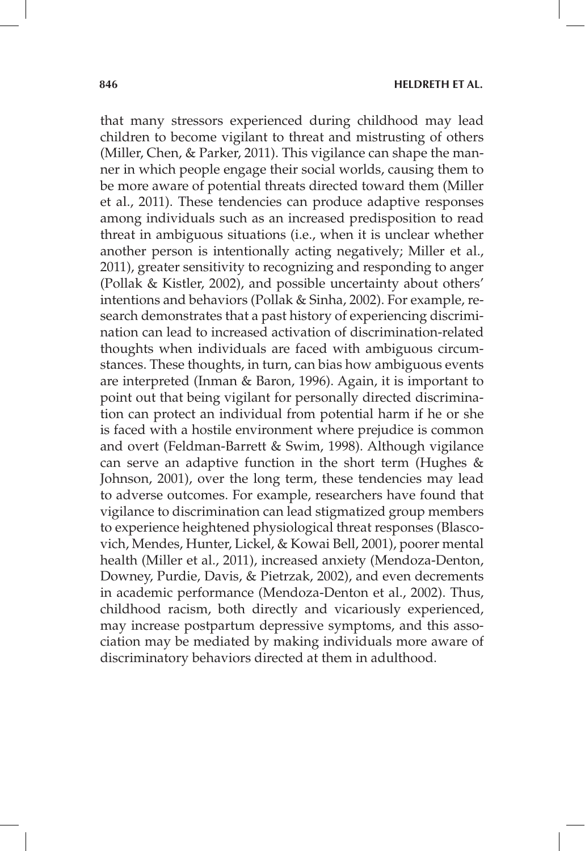that many stressors experienced during childhood may lead children to become vigilant to threat and mistrusting of others (Miller, Chen, & Parker, 2011). This vigilance can shape the manner in which people engage their social worlds, causing them to be more aware of potential threats directed toward them (Miller et al., 2011). These tendencies can produce adaptive responses among individuals such as an increased predisposition to read threat in ambiguous situations (i.e., when it is unclear whether another person is intentionally acting negatively; Miller et al., 2011), greater sensitivity to recognizing and responding to anger (Pollak & Kistler, 2002), and possible uncertainty about others' intentions and behaviors (Pollak & Sinha, 2002). For example, research demonstrates that a past history of experiencing discrimination can lead to increased activation of discrimination-related thoughts when individuals are faced with ambiguous circumstances. These thoughts, in turn, can bias how ambiguous events are interpreted (Inman & Baron, 1996). Again, it is important to point out that being vigilant for personally directed discrimination can protect an individual from potential harm if he or she is faced with a hostile environment where prejudice is common and overt (Feldman-Barrett & Swim, 1998). Although vigilance can serve an adaptive function in the short term (Hughes & Johnson, 2001), over the long term, these tendencies may lead to adverse outcomes. For example, researchers have found that vigilance to discrimination can lead stigmatized group members to experience heightened physiological threat responses (Blascovich, Mendes, Hunter, Lickel, & Kowai Bell, 2001), poorer mental health (Miller et al., 2011), increased anxiety (Mendoza-Denton, Downey, Purdie, Davis, & Pietrzak, 2002), and even decrements in academic performance (Mendoza-Denton et al., 2002). Thus, childhood racism, both directly and vicariously experienced, may increase postpartum depressive symptoms, and this association may be mediated by making individuals more aware of discriminatory behaviors directed at them in adulthood.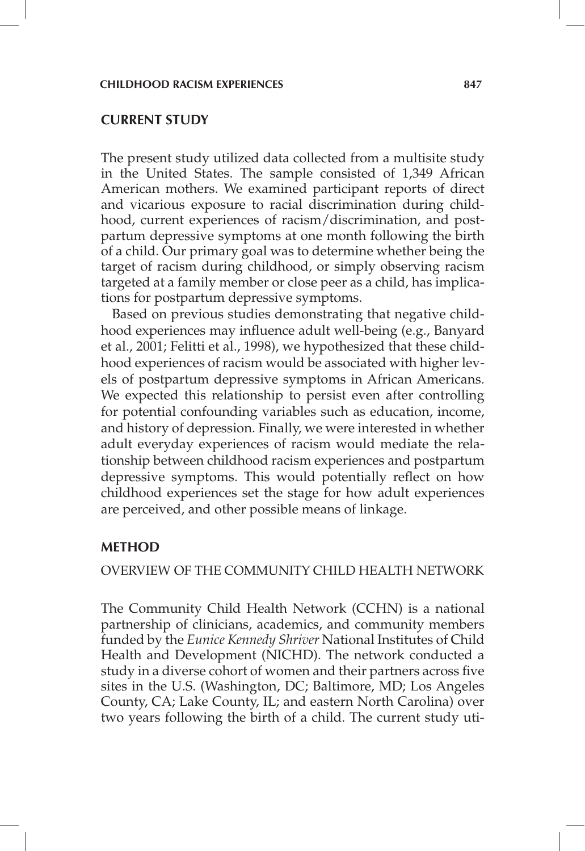#### **CURRENT STUDY**

The present study utilized data collected from a multisite study in the United States. The sample consisted of 1,349 African American mothers. We examined participant reports of direct and vicarious exposure to racial discrimination during childhood, current experiences of racism/discrimination, and postpartum depressive symptoms at one month following the birth of a child. Our primary goal was to determine whether being the target of racism during childhood, or simply observing racism targeted at a family member or close peer as a child, has implications for postpartum depressive symptoms.

Based on previous studies demonstrating that negative childhood experiences may influence adult well-being (e.g., Banyard et al., 2001; Felitti et al., 1998), we hypothesized that these childhood experiences of racism would be associated with higher levels of postpartum depressive symptoms in African Americans. We expected this relationship to persist even after controlling for potential confounding variables such as education, income, and history of depression. Finally, we were interested in whether adult everyday experiences of racism would mediate the relationship between childhood racism experiences and postpartum depressive symptoms. This would potentially reflect on how childhood experiences set the stage for how adult experiences are perceived, and other possible means of linkage.

## **METHOD**

## OVERVIEW OF THE COMMUNITY CHILD HEALTH NETWORK

The Community Child Health Network (CCHN) is a national partnership of clinicians, academics, and community members funded by the *Eunice Kennedy Shriver* National Institutes of Child Health and Development (NICHD). The network conducted a study in a diverse cohort of women and their partners across five sites in the U.S. (Washington, DC; Baltimore, MD; Los Angeles County, CA; Lake County, IL; and eastern North Carolina) over two years following the birth of a child. The current study uti-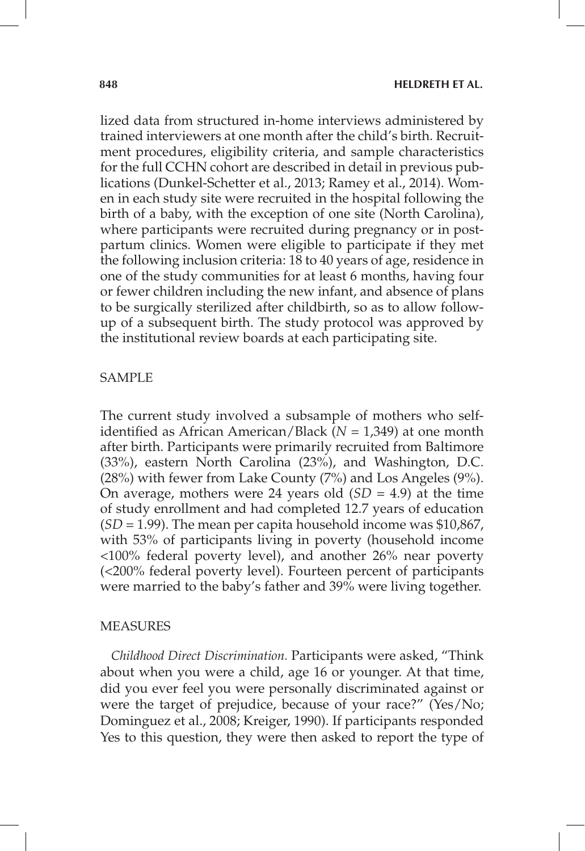lized data from structured in-home interviews administered by trained interviewers at one month after the child's birth. Recruitment procedures, eligibility criteria, and sample characteristics for the full CCHN cohort are described in detail in previous publications (Dunkel-Schetter et al., 2013; Ramey et al., 2014). Women in each study site were recruited in the hospital following the birth of a baby, with the exception of one site (North Carolina), where participants were recruited during pregnancy or in postpartum clinics. Women were eligible to participate if they met the following inclusion criteria: 18 to 40 years of age, residence in one of the study communities for at least 6 months, having four or fewer children including the new infant, and absence of plans to be surgically sterilized after childbirth, so as to allow followup of a subsequent birth. The study protocol was approved by the institutional review boards at each participating site.

## SAMPLE

The current study involved a subsample of mothers who selfidentified as African American/Black (*N* = 1,349) at one month after birth. Participants were primarily recruited from Baltimore (33%), eastern North Carolina (23%), and Washington, D.C. (28%) with fewer from Lake County (7%) and Los Angeles (9%). On average, mothers were 24 years old (*SD* = 4.9) at the time of study enrollment and had completed 12.7 years of education (*SD* = 1.99). The mean per capita household income was \$10,867, with 53% of participants living in poverty (household income <100% federal poverty level), and another 26% near poverty (<200% federal poverty level). Fourteen percent of participants were married to the baby's father and 39% were living together.

## MEASURES

*Childhood Direct Discrimination.* Participants were asked, "Think about when you were a child, age 16 or younger. At that time, did you ever feel you were personally discriminated against or were the target of prejudice, because of your race?" (Yes/No; Dominguez et al., 2008; Kreiger, 1990). If participants responded Yes to this question, they were then asked to report the type of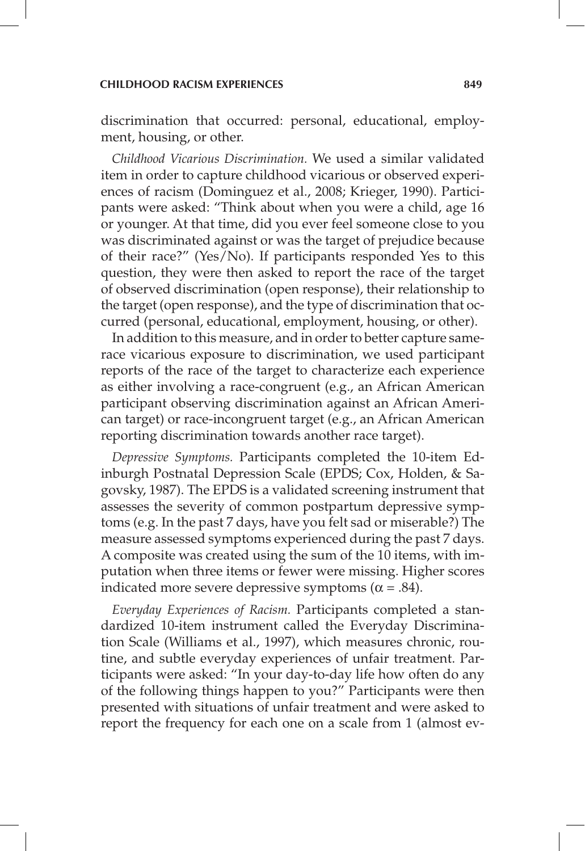discrimination that occurred: personal, educational, employment, housing, or other.

*Childhood Vicarious Discrimination.* We used a similar validated item in order to capture childhood vicarious or observed experiences of racism (Dominguez et al., 2008; Krieger, 1990). Participants were asked: "Think about when you were a child, age 16 or younger. At that time, did you ever feel someone close to you was discriminated against or was the target of prejudice because of their race?" (Yes/No). If participants responded Yes to this question, they were then asked to report the race of the target of observed discrimination (open response), their relationship to the target (open response), and the type of discrimination that occurred (personal, educational, employment, housing, or other).

In addition to this measure, and in order to better capture samerace vicarious exposure to discrimination, we used participant reports of the race of the target to characterize each experience as either involving a race-congruent (e.g., an African American participant observing discrimination against an African American target) or race-incongruent target (e.g., an African American reporting discrimination towards another race target).

*Depressive Symptoms.* Participants completed the 10-item Edinburgh Postnatal Depression Scale (EPDS; Cox, Holden, & Sagovsky, 1987). The EPDS is a validated screening instrument that assesses the severity of common postpartum depressive symptoms (e.g. In the past 7 days, have you felt sad or miserable?) The measure assessed symptoms experienced during the past 7 days. A composite was created using the sum of the 10 items, with imputation when three items or fewer were missing. Higher scores indicated more severe depressive symptoms ( $\alpha$  = .84).

*Everyday Experiences of Racism.* Participants completed a standardized 10-item instrument called the Everyday Discrimination Scale (Williams et al., 1997), which measures chronic, routine, and subtle everyday experiences of unfair treatment. Participants were asked: "In your day-to-day life how often do any of the following things happen to you?" Participants were then presented with situations of unfair treatment and were asked to report the frequency for each one on a scale from 1 (almost ev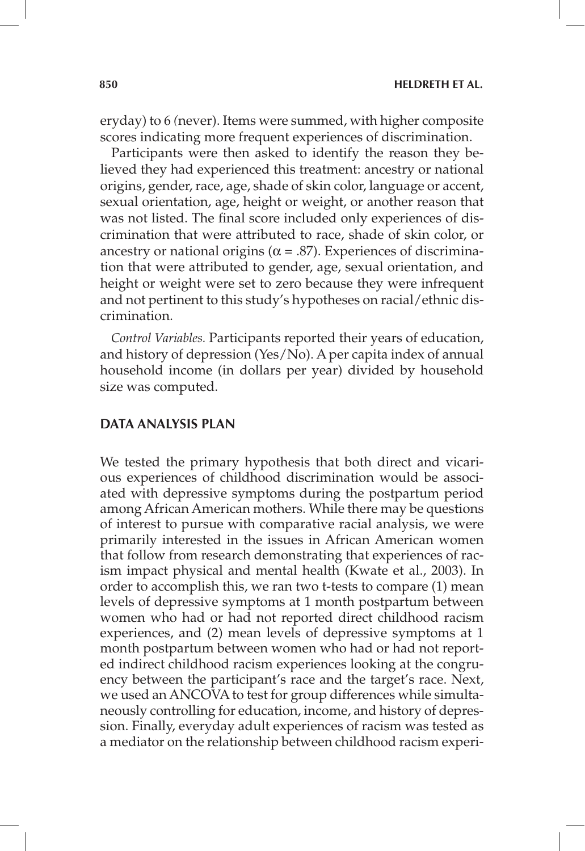eryday) to 6 *(*never). Items were summed, with higher composite scores indicating more frequent experiences of discrimination.

Participants were then asked to identify the reason they believed they had experienced this treatment: ancestry or national origins, gender, race, age, shade of skin color, language or accent, sexual orientation, age, height or weight, or another reason that was not listed. The final score included only experiences of discrimination that were attributed to race, shade of skin color, or ancestry or national origins ( $\alpha$  = .87). Experiences of discrimination that were attributed to gender, age, sexual orientation, and height or weight were set to zero because they were infrequent and not pertinent to this study's hypotheses on racial/ethnic discrimination.

*Control Variables.* Participants reported their years of education, and history of depression (Yes/No). A per capita index of annual household income (in dollars per year) divided by household size was computed.

## **DATA ANALYSIS PLAN**

We tested the primary hypothesis that both direct and vicarious experiences of childhood discrimination would be associated with depressive symptoms during the postpartum period among African American mothers. While there may be questions of interest to pursue with comparative racial analysis, we were primarily interested in the issues in African American women that follow from research demonstrating that experiences of racism impact physical and mental health (Kwate et al., 2003). In order to accomplish this, we ran two t-tests to compare (1) mean levels of depressive symptoms at 1 month postpartum between women who had or had not reported direct childhood racism experiences, and (2) mean levels of depressive symptoms at 1 month postpartum between women who had or had not reported indirect childhood racism experiences looking at the congruency between the participant's race and the target's race. Next, we used an ANCOVA to test for group differences while simultaneously controlling for education, income, and history of depression. Finally, everyday adult experiences of racism was tested as a mediator on the relationship between childhood racism experi-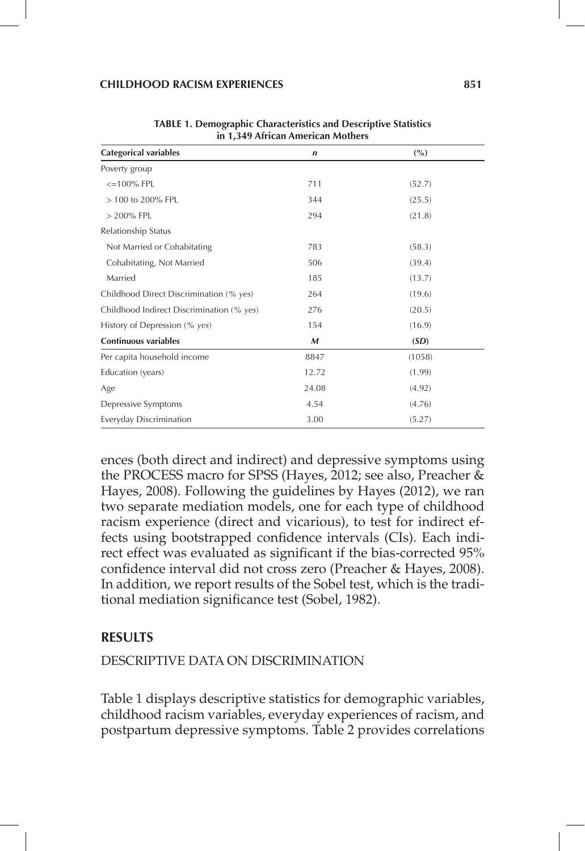#### **CHILDHOOD RACISM EXPERIENCES 851**

| in 1,349 African American Mothers         |             |        |  |  |  |  |
|-------------------------------------------|-------------|--------|--|--|--|--|
| <b>Categorical variables</b>              | $\mathbf n$ | (%)    |  |  |  |  |
| Poverty group                             |             |        |  |  |  |  |
| $\leq$ =100% FPL                          | 711         | (52.7) |  |  |  |  |
| > 100 to 200% FPL                         | 344         | (25.5) |  |  |  |  |
| $> 200\%$ FPL                             | 294         | (21.8) |  |  |  |  |
| Relationship Status                       |             |        |  |  |  |  |
| Not Married or Cohabitating               | 783         | (58.3) |  |  |  |  |
| Cohabitating, Not Married                 | 506         | (39.4) |  |  |  |  |
| Married                                   | 185         | (13.7) |  |  |  |  |
| Childhood Direct Discrimination (% yes)   | 264         | (19.6) |  |  |  |  |
| Childhood Indirect Discrimination (% yes) | 276         | (20.5) |  |  |  |  |
| History of Depression (% yes)             | 154         | (16.9) |  |  |  |  |
| <b>Continuous variables</b>               | M           | (SD)   |  |  |  |  |
| Per capita household income               | 8847        | (1058) |  |  |  |  |
| Education (years)                         | 12.72       | (1.99) |  |  |  |  |
| Age                                       | 24.08       | (4.92) |  |  |  |  |
| Depressive Symptoms                       | 4.54        | (4.76) |  |  |  |  |
| Everyday Discrimination                   | 3.00        | (5.27) |  |  |  |  |

**TABLE 1. Demographic Characteristics and Descriptive Statistics** 

ences (both direct and indirect) and depressive symptoms using the PROCESS macro for SPSS (Hayes, 2012; see also, Preacher & Hayes, 2008). Following the guidelines by Hayes (2012), we ran two separate mediation models, one for each type of childhood racism experience (direct and vicarious), to test for indirect effects using bootstrapped confidence intervals (CIs). Each indirect effect was evaluated as significant if the bias-corrected 95% confidence interval did not cross zero (Preacher & Hayes, 2008). In addition, we report results of the Sobel test, which is the traditional mediation significance test (Sobel, 1982).

## **RESULTS**

## DESCRIPTIVE DATA ON DISCRIMINATION

Table 1 displays descriptive statistics for demographic variables, childhood racism variables, everyday experiences of racism, and postpartum depressive symptoms. Table 2 provides correlations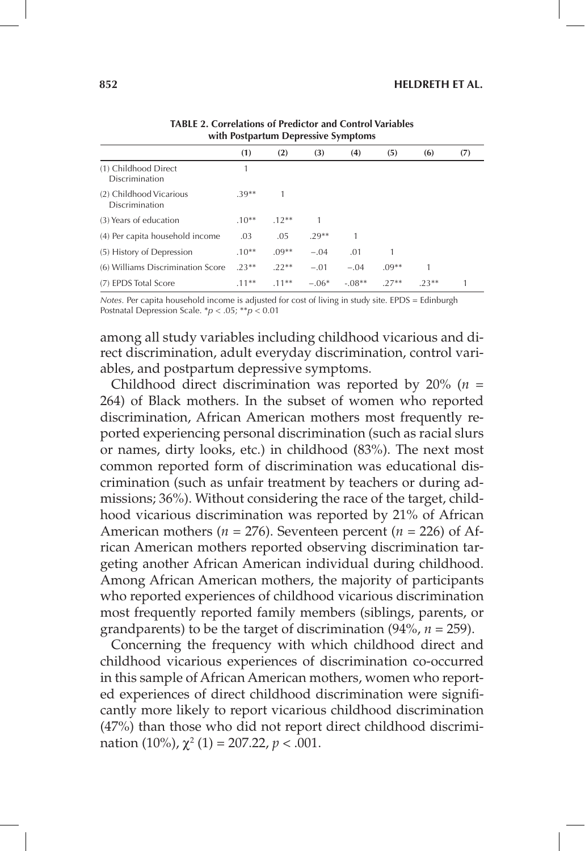| WHEEL TOSEPHERE EXPLOSED VALID COLLIS     |         |         |         |          |         |        |     |  |  |  |
|-------------------------------------------|---------|---------|---------|----------|---------|--------|-----|--|--|--|
|                                           | (1)     | (2)     | (3)     | (4)      | (5)     | (6)    | (7) |  |  |  |
| (1) Childhood Direct<br>Discrimination    |         |         |         |          |         |        |     |  |  |  |
| (2) Childhood Vicarious<br>Discrimination | $.39**$ |         |         |          |         |        |     |  |  |  |
| (3) Years of education                    | $.10**$ | $.12**$ |         |          |         |        |     |  |  |  |
| (4) Per capita household income           | .03     | .05     | $.29**$ |          |         |        |     |  |  |  |
| (5) History of Depression                 | $.10**$ | $.09**$ | $-.04$  | .01      |         |        |     |  |  |  |
| (6) Williams Discrimination Score         | $.23**$ | $22**$  | $-.01$  | $-.04$   | $.09**$ | 1      |     |  |  |  |
| (7) EPDS Total Score                      | $.11**$ | $.11**$ | $-.06*$ | $-.08**$ | $27**$  | $23**$ |     |  |  |  |

**TABLE 2. Correlations of Predictor and Control Variables with Postpartum Depressive Symptoms**

*Notes.* Per capita household income is adjusted for cost of living in study site. EPDS = Edinburgh Postnatal Depression Scale. \**p* < .05; \*\**p* < 0.01

among all study variables including childhood vicarious and direct discrimination, adult everyday discrimination, control variables, and postpartum depressive symptoms.

Childhood direct discrimination was reported by 20% (*n* = 264) of Black mothers. In the subset of women who reported discrimination, African American mothers most frequently reported experiencing personal discrimination (such as racial slurs or names, dirty looks, etc.) in childhood (83%). The next most common reported form of discrimination was educational discrimination (such as unfair treatment by teachers or during admissions; 36%). Without considering the race of the target, childhood vicarious discrimination was reported by 21% of African American mothers ( $n = 276$ ). Seventeen percent ( $n = 226$ ) of African American mothers reported observing discrimination targeting another African American individual during childhood. Among African American mothers, the majority of participants who reported experiences of childhood vicarious discrimination most frequently reported family members (siblings, parents, or grandparents) to be the target of discrimination (94%, *n* = 259).

Concerning the frequency with which childhood direct and childhood vicarious experiences of discrimination co-occurred in this sample of African American mothers, women who reported experiences of direct childhood discrimination were significantly more likely to report vicarious childhood discrimination (47%) than those who did not report direct childhood discrimination  $(10\%)$ ,  $\chi^2(1) = 207.22$ ,  $p < .001$ .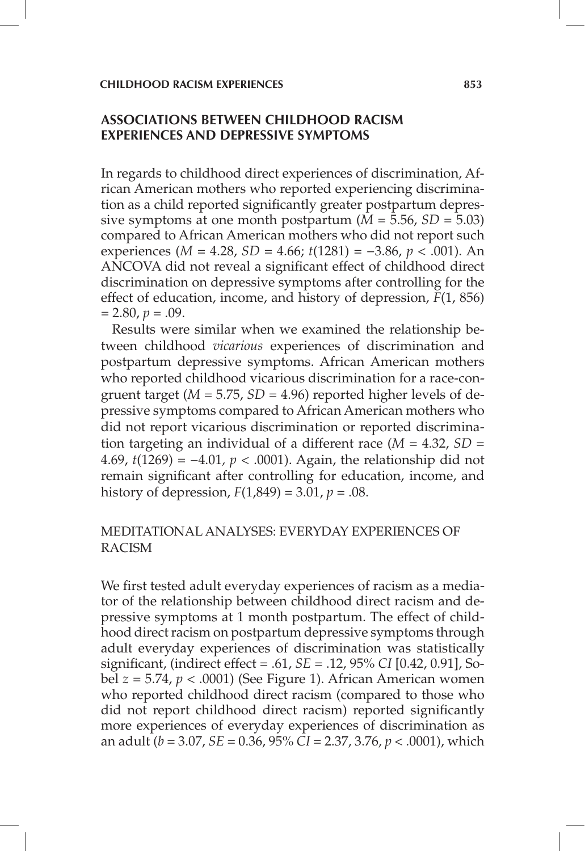# **ASSOCIATIONS BETWEEN CHILDHOOD RACISM EXPERIENCES AND DEPRESSIVE SYMPTOMS**

In regards to childhood direct experiences of discrimination, African American mothers who reported experiencing discrimination as a child reported significantly greater postpartum depressive symptoms at one month postpartum  $(M = 5.56, SD = 5.03)$ compared to African American mothers who did not report such experiences (*M* = 4.28, *SD* = 4.66; *t*(1281) = −3.86, *p* < .001). An ANCOVA did not reveal a significant effect of childhood direct discrimination on depressive symptoms after controlling for the effect of education, income, and history of depression, *F*(1, 856)  $= 2.80, p = .09.$ 

Results were similar when we examined the relationship between childhood *vicarious* experiences of discrimination and postpartum depressive symptoms. African American mothers who reported childhood vicarious discrimination for a race-congruent target ( $M = 5.75$ ,  $SD = 4.96$ ) reported higher levels of depressive symptoms compared to African American mothers who did not report vicarious discrimination or reported discrimination targeting an individual of a different race (*M* = 4.32, *SD* = 4.69, *t*(1269) = −4.01*, p* < .0001). Again, the relationship did not remain significant after controlling for education, income, and history of depression,  $F(1,849) = 3.01$ ,  $p = .08$ .

# MEDITATIONAL ANALYSES: EVERYDAY EXPERIENCES OF RACISM

We first tested adult everyday experiences of racism as a mediator of the relationship between childhood direct racism and depressive symptoms at 1 month postpartum. The effect of childhood direct racism on postpartum depressive symptoms through adult everyday experiences of discrimination was statistically significant, (indirect effect = .61, *SE* = .12, 95% *CI* [0.42, 0.91], Sobel *z* = 5.74, *p* < .0001) (See Figure 1). African American women who reported childhood direct racism (compared to those who did not report childhood direct racism) reported significantly more experiences of everyday experiences of discrimination as an adult (*b* = 3.07, *SE* = 0.36, 95% *CI* = 2.37, 3.76, *p* < .0001), which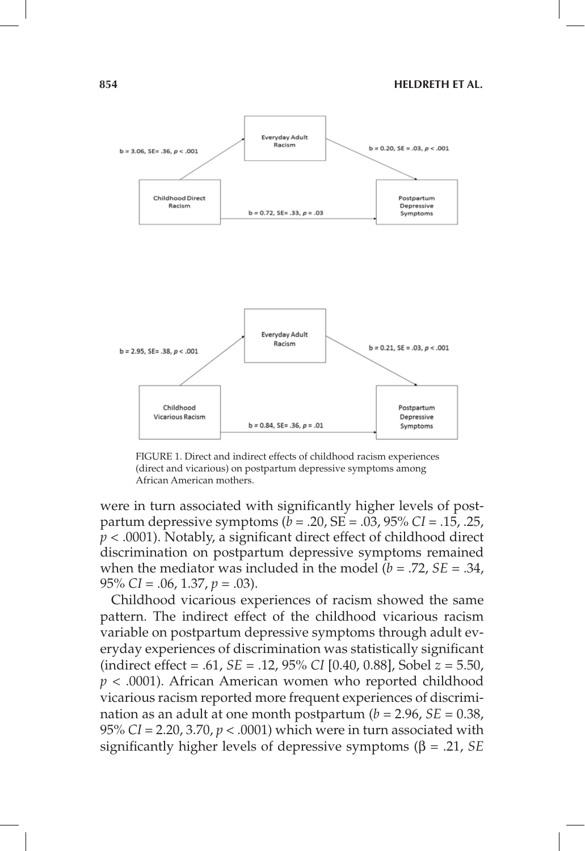

FIGURE 1. Direct and indirect effects of childhood racism experiences (direct and vicarious) on postpartum depressive symptoms among African American mothers.

were in turn associated with significantly higher levels of postpartum depressive symptoms ( $\bar{b}$  = .20, SE = .03, 95% *CI* = .15, .25,  $p < .0001$ ). Notably, a significant direct effect of childhood direct discrimination on postpartum depressive symptoms remained when the mediator was included in the model  $\overline{(b)} = .72, SE = .34,$ 95% *CI* = .06, 1.37, *p* = .03).

Childhood vicarious experiences of racism showed the same pattern. The indirect effect of the childhood vicarious racism variable on postpartum depressive symptoms through adult everyday experiences of discrimination was statistically significant (indirect effect = .61, *SE* = .12, 95% *CI* [0.40, 0.88], Sobel *z* = 5.50, *p* < .0001). African American women who reported childhood vicarious racism reported more frequent experiences of discrimination as an adult at one month postpartum  $(b = 2.96, SE = 0.38)$ , 95% *CI* = 2.20, 3.70, *p* < .0001) which were in turn associated with significantly higher levels of depressive symptoms  $(\beta = .21, SE)$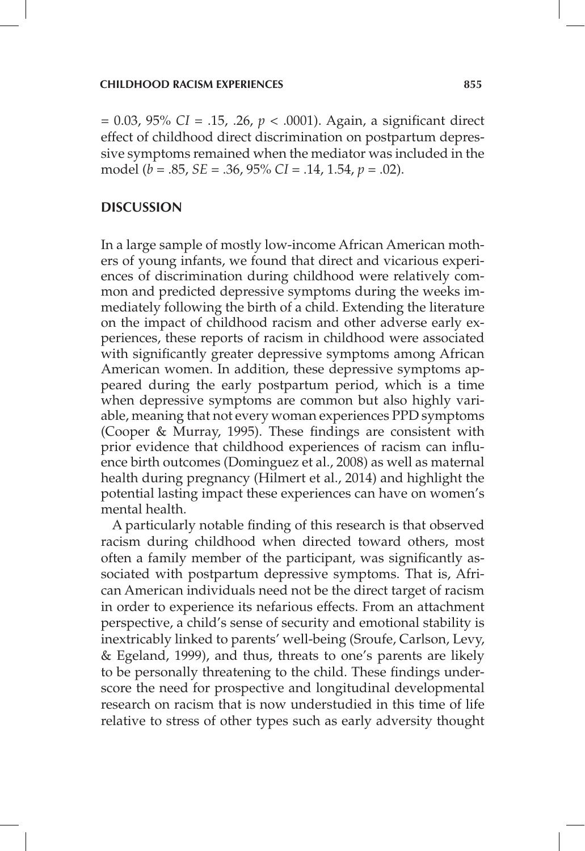= 0.03, 95% *CI* = .15, .26, *p* < .0001). Again, a significant direct effect of childhood direct discrimination on postpartum depressive symptoms remained when the mediator was included in the model (*b* = .85, *SE* = .36, 95% *CI* = .14, 1.54, *p* = .02).

## **DISCUSSION**

In a large sample of mostly low-income African American mothers of young infants, we found that direct and vicarious experiences of discrimination during childhood were relatively common and predicted depressive symptoms during the weeks immediately following the birth of a child. Extending the literature on the impact of childhood racism and other adverse early experiences, these reports of racism in childhood were associated with significantly greater depressive symptoms among African American women. In addition, these depressive symptoms appeared during the early postpartum period, which is a time when depressive symptoms are common but also highly variable, meaning that not every woman experiences PPD symptoms (Cooper & Murray, 1995). These findings are consistent with prior evidence that childhood experiences of racism can influence birth outcomes (Dominguez et al., 2008) as well as maternal health during pregnancy (Hilmert et al., 2014) and highlight the potential lasting impact these experiences can have on women's mental health.

A particularly notable finding of this research is that observed racism during childhood when directed toward others, most often a family member of the participant, was significantly associated with postpartum depressive symptoms. That is, African American individuals need not be the direct target of racism in order to experience its nefarious effects. From an attachment perspective, a child's sense of security and emotional stability is inextricably linked to parents' well-being (Sroufe, Carlson, Levy, & Egeland, 1999), and thus, threats to one's parents are likely to be personally threatening to the child. These findings underscore the need for prospective and longitudinal developmental research on racism that is now understudied in this time of life relative to stress of other types such as early adversity thought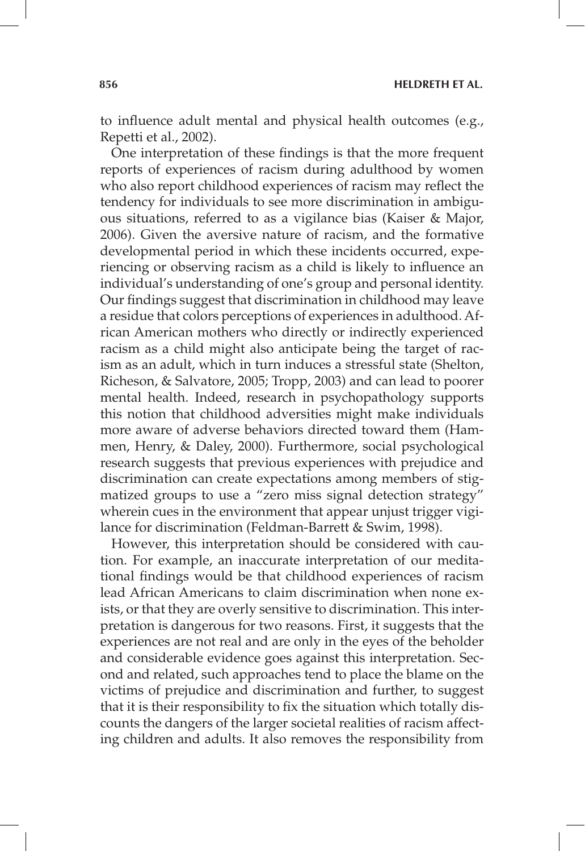to influence adult mental and physical health outcomes (e.g., Repetti et al., 2002).

One interpretation of these findings is that the more frequent reports of experiences of racism during adulthood by women who also report childhood experiences of racism may reflect the tendency for individuals to see more discrimination in ambiguous situations, referred to as a vigilance bias (Kaiser & Major, 2006). Given the aversive nature of racism, and the formative developmental period in which these incidents occurred, experiencing or observing racism as a child is likely to influence an individual's understanding of one's group and personal identity. Our findings suggest that discrimination in childhood may leave a residue that colors perceptions of experiences in adulthood. African American mothers who directly or indirectly experienced racism as a child might also anticipate being the target of racism as an adult, which in turn induces a stressful state (Shelton, Richeson, & Salvatore, 2005; Tropp, 2003) and can lead to poorer mental health. Indeed, research in psychopathology supports this notion that childhood adversities might make individuals more aware of adverse behaviors directed toward them (Hammen, Henry, & Daley, 2000). Furthermore, social psychological research suggests that previous experiences with prejudice and discrimination can create expectations among members of stigmatized groups to use a "zero miss signal detection strategy" wherein cues in the environment that appear unjust trigger vigilance for discrimination (Feldman-Barrett & Swim, 1998).

However, this interpretation should be considered with caution. For example, an inaccurate interpretation of our meditational findings would be that childhood experiences of racism lead African Americans to claim discrimination when none exists, or that they are overly sensitive to discrimination. This interpretation is dangerous for two reasons. First, it suggests that the experiences are not real and are only in the eyes of the beholder and considerable evidence goes against this interpretation. Second and related, such approaches tend to place the blame on the victims of prejudice and discrimination and further, to suggest that it is their responsibility to fix the situation which totally discounts the dangers of the larger societal realities of racism affecting children and adults. It also removes the responsibility from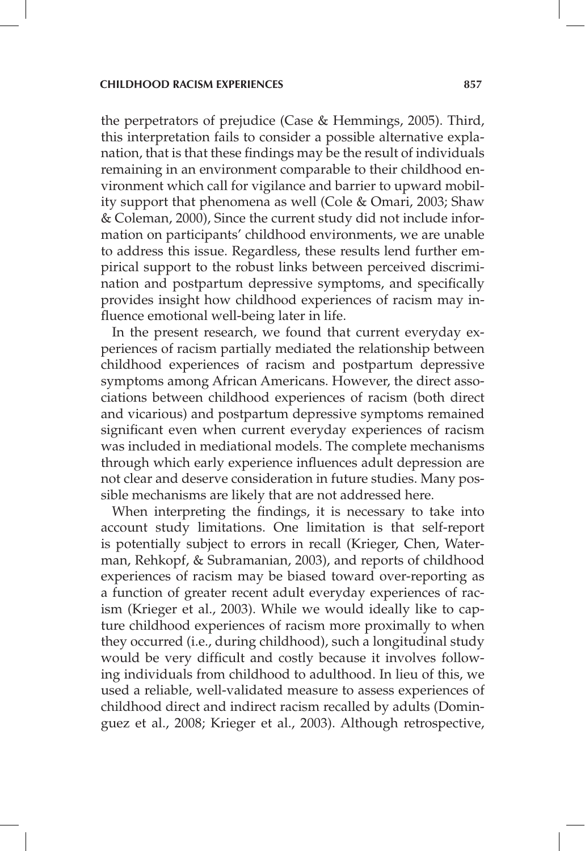the perpetrators of prejudice (Case & Hemmings, 2005). Third, this interpretation fails to consider a possible alternative explanation, that is that these findings may be the result of individuals remaining in an environment comparable to their childhood environment which call for vigilance and barrier to upward mobility support that phenomena as well (Cole & Omari, 2003; Shaw & Coleman, 2000), Since the current study did not include information on participants' childhood environments, we are unable to address this issue. Regardless, these results lend further empirical support to the robust links between perceived discrimination and postpartum depressive symptoms, and specifically provides insight how childhood experiences of racism may influence emotional well-being later in life.

In the present research, we found that current everyday experiences of racism partially mediated the relationship between childhood experiences of racism and postpartum depressive symptoms among African Americans. However, the direct associations between childhood experiences of racism (both direct and vicarious) and postpartum depressive symptoms remained significant even when current everyday experiences of racism was included in mediational models. The complete mechanisms through which early experience influences adult depression are not clear and deserve consideration in future studies. Many possible mechanisms are likely that are not addressed here.

When interpreting the findings, it is necessary to take into account study limitations. One limitation is that self-report is potentially subject to errors in recall (Krieger, Chen, Waterman, Rehkopf, & Subramanian, 2003), and reports of childhood experiences of racism may be biased toward over-reporting as a function of greater recent adult everyday experiences of racism (Krieger et al., 2003). While we would ideally like to capture childhood experiences of racism more proximally to when they occurred (i.e., during childhood), such a longitudinal study would be very difficult and costly because it involves following individuals from childhood to adulthood. In lieu of this, we used a reliable, well-validated measure to assess experiences of childhood direct and indirect racism recalled by adults (Dominguez et al., 2008; Krieger et al., 2003). Although retrospective,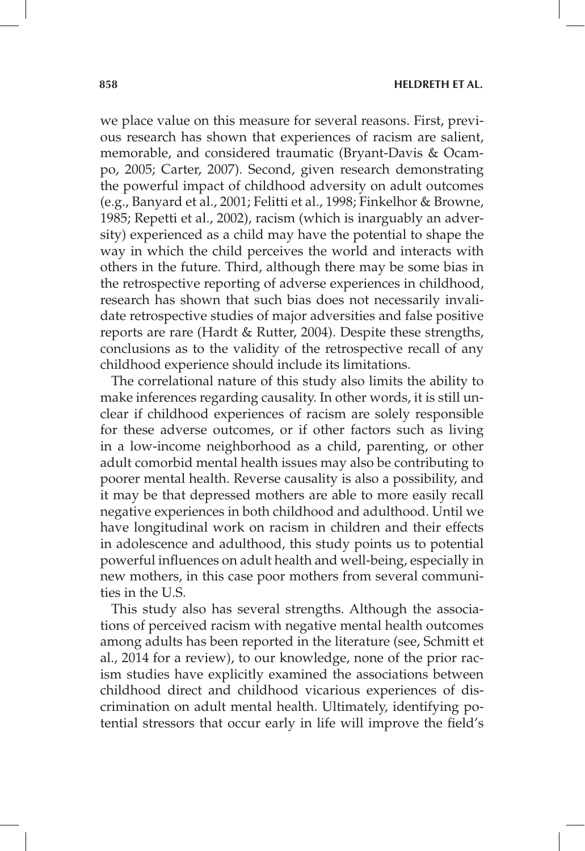we place value on this measure for several reasons. First, previous research has shown that experiences of racism are salient, memorable, and considered traumatic (Bryant-Davis & Ocampo, 2005; Carter, 2007). Second, given research demonstrating the powerful impact of childhood adversity on adult outcomes (e.g., Banyard et al., 2001; Felitti et al., 1998; Finkelhor & Browne, 1985; Repetti et al., 2002), racism (which is inarguably an adversity) experienced as a child may have the potential to shape the way in which the child perceives the world and interacts with others in the future. Third, although there may be some bias in the retrospective reporting of adverse experiences in childhood, research has shown that such bias does not necessarily invalidate retrospective studies of major adversities and false positive reports are rare (Hardt & Rutter, 2004). Despite these strengths, conclusions as to the validity of the retrospective recall of any childhood experience should include its limitations.

The correlational nature of this study also limits the ability to make inferences regarding causality. In other words, it is still unclear if childhood experiences of racism are solely responsible for these adverse outcomes, or if other factors such as living in a low-income neighborhood as a child, parenting, or other adult comorbid mental health issues may also be contributing to poorer mental health. Reverse causality is also a possibility, and it may be that depressed mothers are able to more easily recall negative experiences in both childhood and adulthood. Until we have longitudinal work on racism in children and their effects in adolescence and adulthood, this study points us to potential powerful influences on adult health and well-being, especially in new mothers, in this case poor mothers from several communities in the U.S.

This study also has several strengths. Although the associations of perceived racism with negative mental health outcomes among adults has been reported in the literature (see, Schmitt et al., 2014 for a review), to our knowledge, none of the prior racism studies have explicitly examined the associations between childhood direct and childhood vicarious experiences of discrimination on adult mental health. Ultimately, identifying potential stressors that occur early in life will improve the field's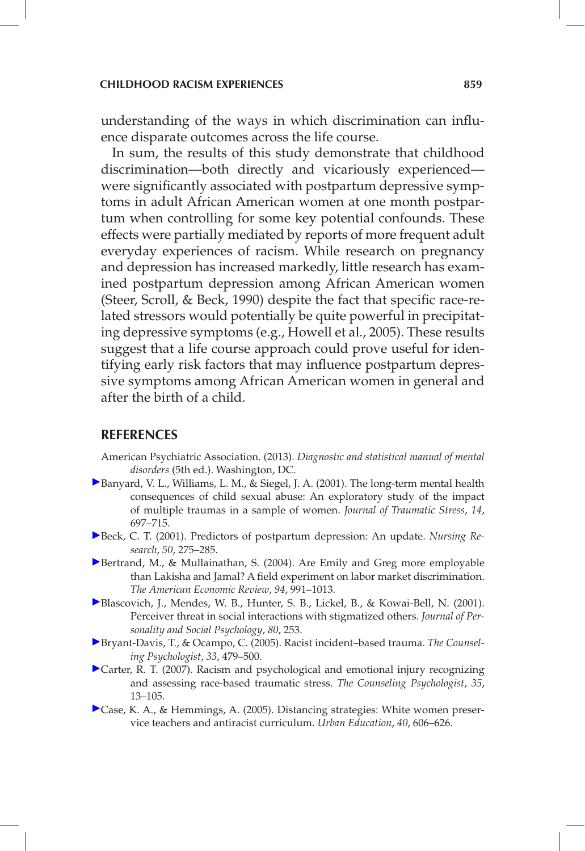understanding of the ways in which discrimination can influence disparate outcomes across the life course.

In sum, the results of this study demonstrate that childhood discrimination—both directly and vicariously experienced were significantly associated with postpartum depressive symptoms in adult African American women at one month postpartum when controlling for some key potential confounds. These effects were partially mediated by reports of more frequent adult everyday experiences of racism. While research on pregnancy and depression has increased markedly, little research has examined postpartum depression among African American women (Steer, Scroll, & Beck, 1990) despite the fact that specific race-related stressors would potentially be quite powerful in precipitating depressive symptoms (e.g., Howell et al., 2005). These results suggest that a life course approach could prove useful for identifying early risk factors that may influence postpartum depressive symptoms among African American women in general and after the birth of a child.

#### **REFERENCES**

- American Psychiatric Association. (2013). *Diagnostic and statistical manual of mental disorders* (5th ed.). Washington, DC.
- [B](http://guilfordjournals.com/action/showLinks?crossref=10.1023%2FA%3A1013085904337&citationId=p_2)anyard, V. L., Williams, L. M., & Siegel, J. A. (2001). The long-term mental health consequences of child sexual abuse: An exploratory study of the impact of multiple traumas in a sample of women. *Journal of Traumatic Stress*, *14*, 697–715.
- [B](http://guilfordjournals.com/action/showLinks?crossref=10.1097%2F00006199-200109000-00004&citationId=p_3)eck, C. T. (2001). Predictors of postpartum depression: An update. *Nursing Research*, *50*, 275–285.
- [B](http://guilfordjournals.com/action/showLinks?crossref=10.1257%2F0002828042002561&citationId=p_4)ertrand, M., & Mullainathan, S. (2004). Are Emily and Greg more employable than Lakisha and Jamal? A field experiment on labor market discrimination. *The American Economic Review*, *94*, 991–1013.
- [B](http://guilfordjournals.com/action/showLinks?crossref=10.1037%2F0022-3514.80.2.253&citationId=p_5)lascovich, J., Mendes, W. B., Hunter, S. B., Lickel, B., & Kowai-Bell, N. (2001). Perceiver threat in social interactions with stigmatized others. *Journal of Personality and Social Psychology*, *80*, 253.
- [B](http://guilfordjournals.com/action/showLinks?crossref=10.1177%2F0011000005276465&citationId=p_6)ryant-Davis, T., & Ocampo, C. (2005). Racist incident–based trauma. *The Counseling Psychologist*, *33*, 479–500.
- [C](http://guilfordjournals.com/action/showLinks?crossref=10.1177%2F0011000006292033&citationId=p_7)arter, R. T. (2007). Racism and psychological and emotional injury recognizing and assessing race-based traumatic stress. *The Counseling Psychologist*, *35*, 13–105.
- [C](http://guilfordjournals.com/action/showLinks?crossref=10.1177%2F0042085905281396&citationId=p_8)ase, K. A., & Hemmings, A. (2005). Distancing strategies: White women preservice teachers and antiracist curriculum. *Urban Education*, *40*, 606–626.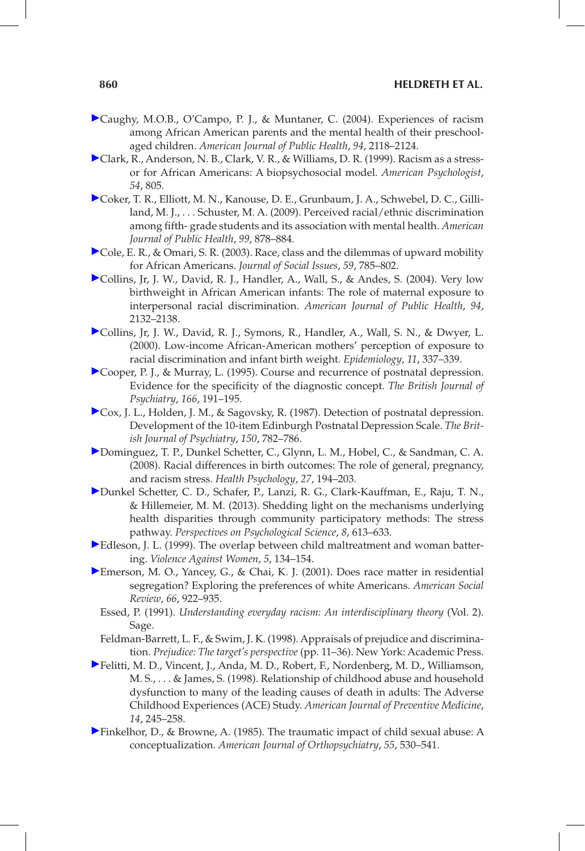- Caughy, M.O.B., O'Campo, P. J., & Muntaner, C. (2004). Experiences of racism among African American parents and the mental health of their preschoolaged children. *American Journal of Public Health*, *94*, 2118–2124.
- Clark, R., Anderson, N. B., Clark, V. R., & Williams, D. R. (1999). Racism as a stressor for African Americans: A biopsychosocial model. *American Psychologist*, *54*, 805.
- Coker, T. R., Elliott, M. N., Kanouse, D. E., Grunbaum, J. A., Schwebel, D. C., Gilliland, M. J., . . . Schuster, M. A. (2009). Perceived racial/ethnic discrimination among fifth- grade students and its association with mental health. *American Journal of Public Health*, *99*, 878–884.
- Cole, E. R., & Omari, S. R. (2003). Race, class and the dilemmas of upward mobility for African Americans. *Journal of Social Issues*, *59*, 785–802.
- Collins, Jr, J. W., David, R. J., Handler, A., Wall, S., & Andes, S. (2004). Very low birthweight in African American infants: The role of maternal exposure to interpersonal racial discrimination. *American Journal of Public Health*, *94*, 2132–2138.
- Collins, Jr, J. W., David, R. J., Symons, R., Handler, A., Wall, S. N., & Dwyer, L. (2000). Low-income African-American mothers' perception of exposure to racial discrimination and infant birth weight. *Epidemiology*, *11*, 337–339.
- Cooper, P. J., & Murray, L. (1995). Course and recurrence of postnatal depression. Evidence for the specificity of the diagnostic concept. *The British Journal of Psychiatry*, *166*, 191–195.
- Cox, J. L., Holden, J. M., & Sagovsky, R. (1987). Detection of postnatal depression. Development of the 10-item Edinburgh Postnatal Depression Scale. *The British Journal of Psychiatry*, *150*, 782–786.
- Dominguez, T. P., Dunkel Schetter, C., Glynn, L. M., Hobel, C., & Sandman, C. A. (2008). Racial differences in birth outcomes: The role of general, pregnancy, and racism stress. *Health Psychology*, *27*, 194–203.
- Dunkel Schetter, C. D., Schafer, P., Lanzi, R. G., Clark-Kauffman, E., Raju, T. N., & Hillemeier, M. M. (2013). Shedding light on the mechanisms underlying health disparities through community participatory methods: The stress pathway. *Perspectives on Psychological Science*, *8*, 613–633.
- Edleson, J. L. (1999). The overlap between child maltreatment and woman battering. *Violence Against Women*, *5*, 134–154.
- Emerson, M. O., Yancey, G., & Chai, K. J. (2001). Does race matter in residential segregation? Exploring the preferences of white Americans. *American Social Review*, *66*, 922–935.
	- Essed, P. (1991). *Understanding everyday racism: An interdisciplinary theory* (Vol. 2)*.* Sage.
	- Feldman-Barrett, L. F., & Swim, J. K. (1998). Appraisals of prejudice and discrimination. *Prejudice: The target's perspective* (pp. 11–36). New York: Academic Press.
- Felitti, M. D., Vincent, J., Anda, M. D., Robert, F., Nordenberg, M. D., Williamson, M. S., . . . & James, S. (1998). Relationship of childhood abuse and household dysfunction to many of the leading causes of death in adults: The Adverse Childhood Experiences (ACE) Study. *American Journal of Preventive Medicine*, *14*, 245–258.
- Finkelhor, D., & Browne, A. (1985). The traumatic impact of child sexual abuse: A conceptualization. *American Journal of Orthopsychiatry*, *55*, 530–541.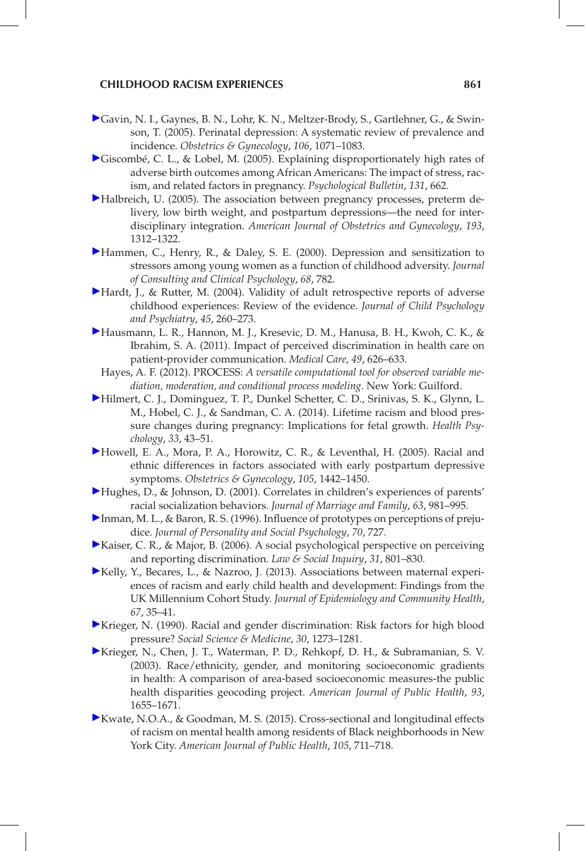- [G](http://guilfordjournals.com/action/showLinks?crossref=10.1097%2F01.AOG.0000183597.31630.db&citationId=p_25)avin, N. I., Gaynes, B. N., Lohr, K. N., Meltzer-Brody, S., Gartlehner, G., & Swinson, T. (2005). Perinatal depression: A systematic review of prevalence and incidence. *Obstetrics & Gynecology*, *106*, 1071–1083.
- [G](http://guilfordjournals.com/action/showLinks?crossref=10.1037%2F0033-2909.131.5.662&citationId=p_26)iscombé, C. L., & Lobel, M. (2005). Explaining disproportionately high rates of adverse birth outcomes among African Americans: The impact of stress, racism, and related factors in pregnancy. *Psychological Bulletin*, *131*, 662.
- [H](http://guilfordjournals.com/action/showLinks?crossref=10.1016%2Fj.ajog.2005.02.103&citationId=p_27)albreich, U. (2005). The association between pregnancy processes, preterm delivery, low birth weight, and postpartum depressions—the need for interdisciplinary integration. *American Journal of Obstetrics and Gynecology*, *193*, 1312–1322.
- [H](http://guilfordjournals.com/action/showLinks?crossref=10.1037%2F0022-006X.68.5.782&citationId=p_28)ammen, C., Henry, R., & Daley, S. E. (2000). Depression and sensitization to stressors among young women as a function of childhood adversity. *Journal of Consulting and Clinical Psychology*, *68*, 782.
- [H](http://guilfordjournals.com/action/showLinks?crossref=10.1111%2Fj.1469-7610.2004.00218.x&citationId=p_29)ardt, J., & Rutter, M. (2004). Validity of adult retrospective reports of adverse childhood experiences: Review of the evidence. *Journal of Child Psychology and Psychiatry*, *45*, 260–273.
- [H](http://guilfordjournals.com/action/showLinks?crossref=10.1097%2FMLR.0b013e318215d93c&citationId=p_30)ausmann, L. R., Hannon, M. J., Kresevic, D. M., Hanusa, B. H., Kwoh, C. K., & Ibrahim, S. A. (2011). Impact of perceived discrimination in health care on patient-provider communication. *Medical Care*, *49*, 626–633.
	- Hayes, A. F. (2012). PROCESS: *A versatile computational tool for observed variable mediation, moderation, and conditional process modeling.* New York: Guilford.
- [H](http://guilfordjournals.com/action/showLinks?crossref=10.1037%2Fa0031160&citationId=p_32)ilmert, C. J., Dominguez, T. P., Dunkel Schetter, C. D., Srinivas, S. K., Glynn, L. M., Hobel, C. J., & Sandman, C. A. (2014). Lifetime racism and blood pressure changes during pregnancy: Implications for fetal growth. *Health Psychology*, *33*, 43–51.
- [H](http://guilfordjournals.com/action/showLinks?crossref=10.1097%2F01.AOG.0000164050.34126.37&citationId=p_33)owell, E. A., Mora, P. A., Horowitz, C. R., & Leventhal, H. (2005). Racial and ethnic differences in factors associated with early postpartum depressive symptoms. *Obstetrics & Gynecology*, *105*, 1442–1450.
- [H](http://guilfordjournals.com/action/showLinks?crossref=10.1111%2Fj.1741-3737.2001.00981.x&citationId=p_34)ughes, D., & Johnson, D. (2001). Correlates in children's experiences of parents' racial socialization behaviors. *Journal of Marriage and Family*, *63*, 981–995.
- [I](http://guilfordjournals.com/action/showLinks?crossref=10.1037%2F0022-3514.70.4.727&citationId=p_35)nman, M. L., & Baron, R. S. (1996). Influence of prototypes on perceptions of prejudice. *Journal of Personality and Social Psychology*, *70*, 727.
- [K](http://guilfordjournals.com/action/showLinks?crossref=10.1111%2Fj.1747-4469.2006.00036.x&citationId=p_36)aiser, C. R., & Major, B. (2006). A social psychological perspective on perceiving and reporting discrimination. *Law & Social Inquiry*, *31*, 801–830.
- [K](http://guilfordjournals.com/action/showLinks?crossref=10.1136%2Fjech-2011-200814&citationId=p_37)elly, Y., Becares, L., & Nazroo, J. (2013). Associations between maternal experiences of racism and early child health and development: Findings from the UK Millennium Cohort Study. *Journal of Epidemiology and Community Health*, *67*, 35–41.
- [K](http://guilfordjournals.com/action/showLinks?crossref=10.1016%2F0277-9536%2890%2990307-E&citationId=p_38)rieger, N. (1990). Racial and gender discrimination: Risk factors for high blood pressure? *Social Science & Medicine*, *30*, 1273–1281.
- [K](http://guilfordjournals.com/action/showLinks?crossref=10.2105%2FAJPH.93.10.1655&citationId=p_39)rieger, N., Chen, J. T., Waterman, P. D., Rehkopf, D. H., & Subramanian, S. V. (2003). Race/ethnicity, gender, and monitoring socioeconomic gradients in health: A comparison of area-based socioeconomic measures-the public health disparities geocoding project. *American Journal of Public Health*, *93*, 1655–1671.
- [K](http://guilfordjournals.com/action/showLinks?crossref=10.2105%2FAJPH.2014.302243&citationId=p_40)wate, N.O.A., & Goodman, M. S. (2015). Cross-sectional and longitudinal effects of racism on mental health among residents of Black neighborhoods in New York City. *American Journal of Public Health*, *105*, 711–718.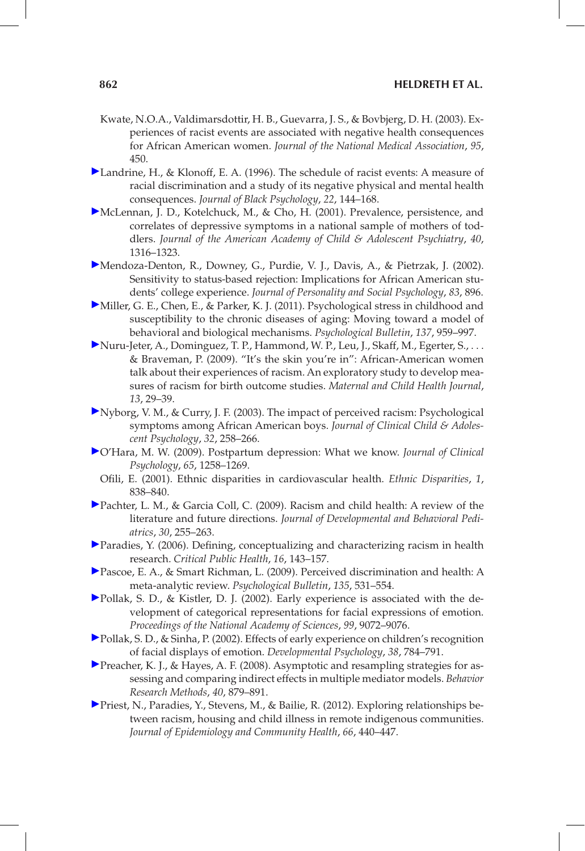- Kwate, N.O.A., Valdimarsdottir, H. B., Guevarra, J. S., & Bovbjerg, D. H. (2003). Experiences of racist events are associated with negative health consequences for African American women. *Journal of the National Medical Association*, *95*, 450.
- Landrine, H., & Klonoff, E. A. (1996). The schedule of racist events: A measure of racial discrimination and a study of its negative physical and mental health consequences. *Journal of Black Psychology*, *22*, 144–168.
- McLennan, J. D., Kotelchuck, M., & Cho, H. (2001). Prevalence, persistence, and correlates of depressive symptoms in a national sample of mothers of toddlers. *Journal of the American Academy of Child & Adolescent Psychiatry*, *40*, 1316–1323.
- Mendoza-Denton, R., Downey, G., Purdie, V. J., Davis, A., & Pietrzak, J. (2002). Sensitivity to status-based rejection: Implications for African American students' college experience. *Journal of Personality and Social Psychology*, *83*, 896.
- Miller, G. E., Chen, E., & Parker, K. J. (2011). Psychological stress in childhood and susceptibility to the chronic diseases of aging: Moving toward a model of behavioral and biological mechanisms. *Psychological Bulletin*, *137*, 959–997.
- Nuru-Jeter, A., Dominguez, T. P., Hammond, W. P., Leu, J., Skaff, M., Egerter, S., . . . & Braveman, P. (2009). "It's the skin you're in": African-American women talk about their experiences of racism. An exploratory study to develop measures of racism for birth outcome studies. *Maternal and Child Health Journal*, *13*, 29–39.
- Nyborg, V. M., & Curry, J. F. (2003). The impact of perceived racism: Psychological symptoms among African American boys. *Journal of Clinical Child & Adolescent Psychology*, *32*, 258–266.
- O'Hara, M. W. (2009). Postpartum depression: What we know. *Journal of Clinical Psychology*, *65*, 1258–1269.
	- Ofili, E. (2001). Ethnic disparities in cardiovascular health. *Ethnic Disparities*, *1*, 838–840.
- Pachter, L. M., & Garcia Coll, C. (2009). Racism and child health: A review of the literature and future directions. *Journal of Developmental and Behavioral Pediatrics*, *30*, 255–263.
- Paradies, Y. (2006). Defining, conceptualizing and characterizing racism in health research. *Critical Public Health*, *16*, 143–157.
- Pascoe, E. A., & Smart Richman, L. (2009). Perceived discrimination and health: A meta-analytic review. *Psychological Bulletin*, *135*, 531–554.
- Pollak, S. D., & Kistler, D. J. (2002). Early experience is associated with the development of categorical representations for facial expressions of emotion. *Proceedings of the National Academy of Sciences*, *99*, 9072–9076.
- Pollak, S. D., & Sinha, P. (2002). Effects of early experience on children's recognition of facial displays of emotion. *Developmental Psychology*, *38*, 784–791.
- Preacher, K. J., & Hayes, A. F. (2008). Asymptotic and resampling strategies for assessing and comparing indirect effects in multiple mediator models. *Behavior Research Methods*, *40*, 879–891.
- Priest, N., Paradies, Y., Stevens, M., & Bailie, R. (2012). Exploring relationships between racism, housing and child illness in remote indigenous communities. *Journal of Epidemiology and Community Health*, *66*, 440–447.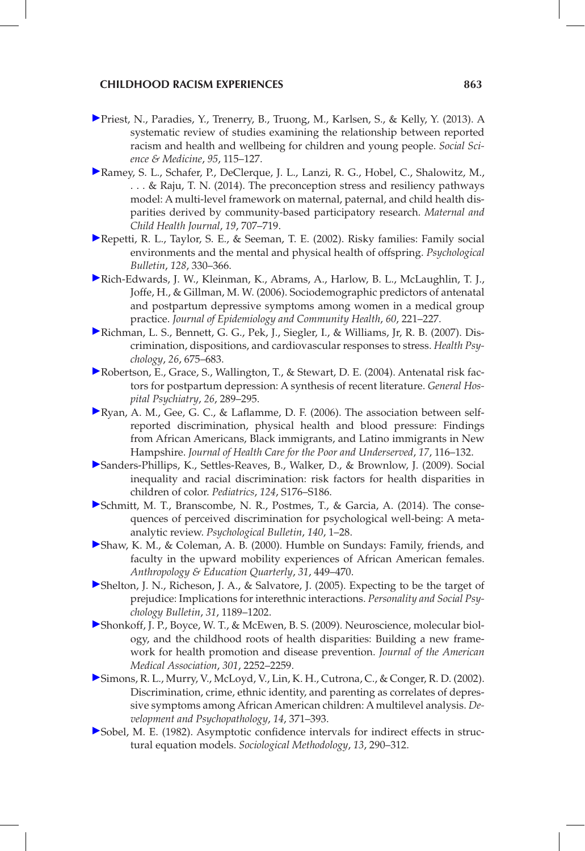#### **CHILDHOOD RACISM EXPERIENCES 863**

- [P](http://guilfordjournals.com/action/showLinks?crossref=10.1016%2Fj.socscimed.2012.11.031&citationId=p_57)riest, N., Paradies, Y., Trenerry, B., Truong, M., Karlsen, S., & Kelly, Y. (2013). A systematic review of studies examining the relationship between reported racism and health and wellbeing for children and young people. *Social Science & Medicine*, *95*, 115–127.
- [R](http://guilfordjournals.com/action/showLinks?crossref=10.1007%2Fs10995-014-1581-1&citationId=p_58)amey, S. L., Schafer, P., DeClerque, J. L., Lanzi, R. G., Hobel, C., Shalowitz, M., . . . & Raju, T. N. (2014). The preconception stress and resiliency pathways model: A multi-level framework on maternal, paternal, and child health disparities derived by community-based participatory research. *Maternal and Child Health Journal*, *19*, 707–719.
- [R](http://guilfordjournals.com/action/showLinks?crossref=10.1037%2F0033-2909.128.2.330&citationId=p_59)epetti, R. L., Taylor, S. E., & Seeman, T. E. (2002). Risky families: Family social environments and the mental and physical health of offspring. *Psychological Bulletin*, *128*, 330–366.
- [R](http://guilfordjournals.com/action/showLinks?crossref=10.1136%2Fjech.2005.039370&citationId=p_60)ich-Edwards, J. W., Kleinman, K., Abrams, A., Harlow, B. L., McLaughlin, T. J., Joffe, H., & Gillman, M. W. (2006). Sociodemographic predictors of antenatal and postpartum depressive symptoms among women in a medical group practice. *Journal of Epidemiology and Community Health*, *60*, 221–227.
- [R](http://guilfordjournals.com/action/showLinks?crossref=10.1037%2F0278-6133.26.6.675&citationId=p_61)ichman, L. S., Bennett, G. G., Pek, J., Siegler, I., & Williams, Jr, R. B. (2007). Discrimination, dispositions, and cardiovascular responses to stress. *Health Psychology*, *26*, 675–683.
- [R](http://guilfordjournals.com/action/showLinks?crossref=10.1016%2Fj.genhosppsych.2004.02.006&citationId=p_62)obertson, E., Grace, S., Wallington, T., & Stewart, D. E. (2004). Antenatal risk factors for postpartum depression: A synthesis of recent literature. *General Hospital Psychiatry*, *26*, 289–295.
- [R](http://guilfordjournals.com/action/showLinks?crossref=10.1353%2Fhpu.2006.0079&citationId=p_63)yan, A. M., Gee, G. C., & Laflamme, D. F. (2006). The association between selfreported discrimination, physical health and blood pressure: Findings from African Americans, Black immigrants, and Latino immigrants in New Hampshire. *Journal of Health Care for the Poor and Underserved*, *17*, 116–132.
- [S](http://guilfordjournals.com/action/showLinks?crossref=10.1542%2Fpeds.2009-1100E&citationId=p_64)anders-Phillips, K., Settles-Reaves, B., Walker, D., & Brownlow, J. (2009). Social inequality and racial discrimination: risk factors for health disparities in children of color. *Pediatrics*, *124*, S176–S186.
- [S](http://guilfordjournals.com/action/showLinks?crossref=10.1037%2Fa0035754&citationId=p_65)chmitt, M. T., Branscombe, N. R., Postmes, T., & Garcia, A. (2014). The consequences of perceived discrimination for psychological well-being: A metaanalytic review. *Psychological Bulletin*, *140*, 1–28.
- [S](http://guilfordjournals.com/action/showLinks?crossref=10.1525%2Faeq.2000.31.4.449&citationId=p_66)haw, K. M., & Coleman, A. B. (2000). Humble on Sundays: Family, friends, and faculty in the upward mobility experiences of African American females. *Anthropology & Education Quarterly*, *31*, 449–470.
- [S](http://guilfordjournals.com/action/showLinks?crossref=10.1177%2F0146167205274894&citationId=p_67)helton, J. N., Richeson, J. A., & Salvatore, J. (2005). Expecting to be the target of prejudice: Implications for interethnic interactions. *Personality and Social Psychology Bulletin*, *31*, 1189–1202.
- [S](http://guilfordjournals.com/action/showLinks?crossref=10.1001%2Fjama.2009.754&citationId=p_68)honkoff, J. P., Boyce, W. T., & McEwen, B. S. (2009). Neuroscience, molecular biology, and the childhood roots of health disparities: Building a new framework for health promotion and disease prevention. *Journal of the American Medical Association*, *301*, 2252–2259.
- [S](http://guilfordjournals.com/action/showLinks?crossref=10.1017%2FS0954579402002109&citationId=p_69)imons, R. L., Murry, V., McLoyd, V., Lin, K. H., Cutrona, C., & Conger, R. D. (2002). Discrimination, crime, ethnic identity, and parenting as correlates of depressive symptoms among African American children: A multilevel analysis. *Development and Psychopathology*, *14*, 371–393.
- [S](http://guilfordjournals.com/action/showLinks?crossref=10.2307%2F270723&citationId=p_70)obel, M. E. (1982). Asymptotic confidence intervals for indirect effects in structural equation models. *Sociological Methodology*, *13*, 290–312.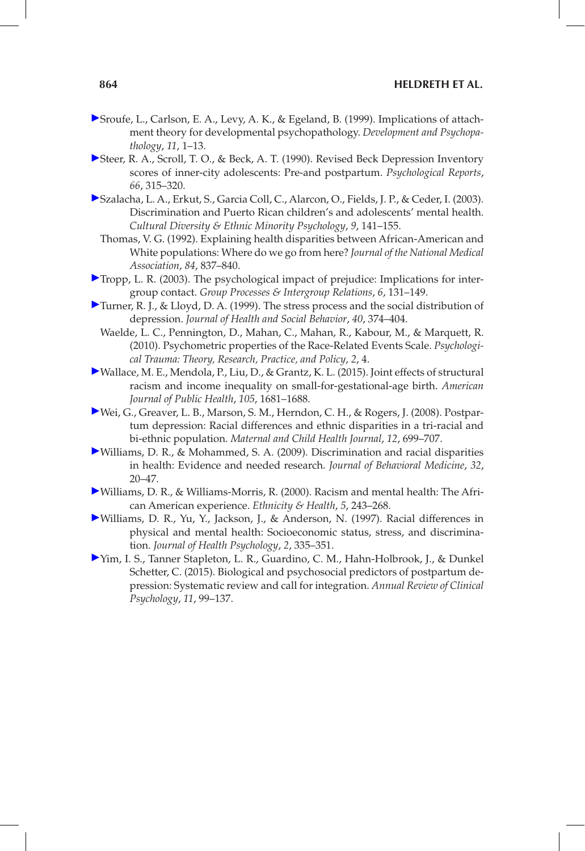#### **864 HELDRETH ET AL.**

- Sroufe, L., Carlson, E. A., Levy, A. K., & Egeland, B. (1999). Implications of attachment theory for developmental psychopathology. *Development and Psychopathology*, *11*, 1–13.
- Steer, R. A., Scroll, T. O., & Beck, A. T. (1990). Revised Beck Depression Inventory scores of inner-city adolescents: Pre-and postpartum. *Psychological Reports*, *66*, 315–320.
- Szalacha, L. A., Erkut, S., Garcia Coll, C., Alarcon, O., Fields, J. P., & Ceder, I. (2003). Discrimination and Puerto Rican children's and adolescents' mental health. *Cultural Diversity & Ethnic Minority Psychology*, *9*, 141–155.
	- Thomas, V. G. (1992). Explaining health disparities between African-American and White populations: Where do we go from here? *Journal of the National Medical Association*, *84*, 837–840.
- Tropp, L. R. (2003). The psychological impact of prejudice: Implications for intergroup contact. *Group Processes & Intergroup Relations*, *6*, 131–149.
- Turner, R. J., & Lloyd, D. A. (1999). The stress process and the social distribution of depression. *Journal of Health and Social Behavior*, *40*, 374–404.
	- Waelde, L. C., Pennington, D., Mahan, C., Mahan, R., Kabour, M., & Marquett, R. (2010). Psychometric properties of the Race-Related Events Scale. *Psychological Trauma: Theory, Research, Practice, and Policy*, *2*, 4.
- Wallace, M. E., Mendola, P., Liu, D., & Grantz, K. L. (2015). Joint effects of structural racism and income inequality on small-for-gestational-age birth. *American Journal of Public Health*, *105*, 1681–1688.
- Wei, G., Greaver, L. B., Marson, S. M., Herndon, C. H., & Rogers, J. (2008). Postpartum depression: Racial differences and ethnic disparities in a tri-racial and bi-ethnic population. *Maternal and Child Health Journal*, *12*, 699–707.
- Williams, D. R., & Mohammed, S. A. (2009). Discrimination and racial disparities in health: Evidence and needed research. *Journal of Behavioral Medicine*, *32*, 20–47.
- Williams, D. R., & Williams-Morris, R. (2000). Racism and mental health: The African American experience. *Ethnicity & Health*, *5*, 243–268.
- Williams, D. R., Yu, Y., Jackson, J., & Anderson, N. (1997). Racial differences in physical and mental health: Socioeconomic status, stress, and discrimination. *Journal of Health Psychology*, *2*, 335–351.
- Yim, I. S., Tanner Stapleton, L. R., Guardino, C. M., Hahn-Holbrook, J., & Dunkel Schetter, C. (2015). Biological and psychosocial predictors of postpartum depression: Systematic review and call for integration. *Annual Review of Clinical Psychology*, *11*, 99–137.